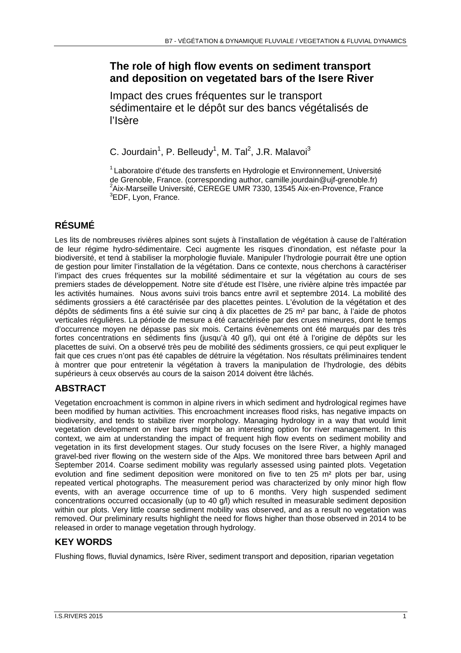# **The role of high flow events on sediment transport and deposition on vegetated bars of the Isere River**

Impact des crues fréquentes sur le transport sédimentaire et le dépôt sur des bancs végétalisés de l'Isère

C. Jourdain<sup>1</sup>, P. Belleudy<sup>1</sup>, M. Tal<sup>2</sup>, J.R. Malavoi<sup>3</sup>

<sup>1</sup> Laboratoire d'étude des transferts en Hydrologie et Environnement, Université de Grenoble, France. (corresponding author, camille.jourdain@ujf-grenoble.fr) 2 Aix-Marseille Université, CEREGE UMR 7330, 13545 Aix-en-Provence, France <sup>3</sup>EDF, Lyon, France.

# **RÉSUMÉ**

Les lits de nombreuses rivières alpines sont sujets à l'installation de végétation à cause de l'altération de leur régime hydro-sédimentaire. Ceci augmente les risques d'inondation, est néfaste pour la biodiversité, et tend à stabiliser la morphologie fluviale. Manipuler l'hydrologie pourrait être une option de gestion pour limiter l'installation de la végétation. Dans ce contexte, nous cherchons à caractériser l'impact des crues fréquentes sur la mobilité sédimentaire et sur la végétation au cours de ses premiers stades de développement. Notre site d'étude est l'Isère, une rivière alpine très impactée par les activités humaines. Nous avons suivi trois bancs entre avril et septembre 2014. La mobilité des sédiments grossiers a été caractérisée par des placettes peintes. L'évolution de la végétation et des dépôts de sédiments fins a été suivie sur cinq à dix placettes de 25 m² par banc, à l'aide de photos verticales régulières. La période de mesure a été caractérisée par des crues mineures, dont le temps d'occurrence moyen ne dépasse pas six mois. Certains évènements ont été marqués par des très fortes concentrations en sédiments fins (jusqu'à 40 g/l), qui ont été à l'origine de dépôts sur les placettes de suivi. On a observé très peu de mobilité des sédiments grossiers, ce qui peut expliquer le fait que ces crues n'ont pas été capables de détruire la végétation. Nos résultats préliminaires tendent à montrer que pour entretenir la végétation à travers la manipulation de l'hydrologie, des débits supérieurs à ceux observés au cours de la saison 2014 doivent être lâchés.

# **ABSTRACT**

Vegetation encroachment is common in alpine rivers in which sediment and hydrological regimes have been modified by human activities. This encroachment increases flood risks, has negative impacts on biodiversity, and tends to stabilize river morphology. Managing hydrology in a way that would limit vegetation development on river bars might be an interesting option for river management. In this context, we aim at understanding the impact of frequent high flow events on sediment mobility and vegetation in its first development stages. Our study focuses on the Isere River, a highly managed gravel-bed river flowing on the western side of the Alps. We monitored three bars between April and September 2014. Coarse sediment mobility was regularly assessed using painted plots. Vegetation evolution and fine sediment deposition were monitored on five to ten 25 m² plots per bar, using repeated vertical photographs. The measurement period was characterized by only minor high flow events, with an average occurrence time of up to 6 months. Very high suspended sediment concentrations occurred occasionally (up to 40 g/l) which resulted in measurable sediment deposition within our plots. Very little coarse sediment mobility was observed, and as a result no vegetation was removed. Our preliminary results highlight the need for flows higher than those observed in 2014 to be released in order to manage vegetation through hydrology.

# **KEY WORDS**

Flushing flows, fluvial dynamics, Isère River, sediment transport and deposition, riparian vegetation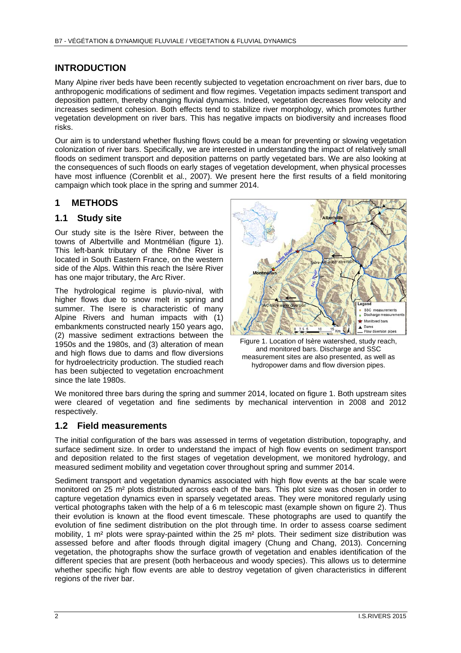## **INTRODUCTION**

Many Alpine river beds have been recently subjected to vegetation encroachment on river bars, due to anthropogenic modifications of sediment and flow regimes. Vegetation impacts sediment transport and deposition pattern, thereby changing fluvial dynamics. Indeed, vegetation decreases flow velocity and increases sediment cohesion. Both effects tend to stabilize river morphology, which promotes further vegetation development on river bars. This has negative impacts on biodiversity and increases flood risks.

Our aim is to understand whether flushing flows could be a mean for preventing or slowing vegetation colonization of river bars. Specifically, we are interested in understanding the impact of relatively small floods on sediment transport and deposition patterns on partly vegetated bars. We are also looking at the consequences of such floods on early stages of vegetation development, when physical processes have most influence (Corenblit et al., 2007). We present here the first results of a field monitoring campaign which took place in the spring and summer 2014.

# **1 METHODS**

#### **1.1 Study site**

Our study site is the Isère River, between the towns of Albertville and Montmélian (figure 1). This left-bank tributary of the Rhône River is located in South Eastern France, on the western side of the Alps. Within this reach the Isère River has one major tributary, the Arc River.

The hydrological regime is pluvio-nival, with higher flows due to snow melt in spring and summer. The Isere is characteristic of many Alpine Rivers and human impacts with (1) embankments constructed nearly 150 years ago, (2) massive sediment extractions between the 1950s and the 1980s, and (3) alteration of mean and high flows due to dams and flow diversions for hydroelectricity production. The studied reach has been subjected to vegetation encroachment since the late 1980s.



Figure 1. Location of Isère watershed, study reach, and monitored bars. Discharge and SSC measurement sites are also presented, as well as hydropower dams and flow diversion pipes.

We monitored three bars during the spring and summer 2014, located on figure 1. Both upstream sites were cleared of vegetation and fine sediments by mechanical intervention in 2008 and 2012 respectively.

#### **1.2 Field measurements**

The initial configuration of the bars was assessed in terms of vegetation distribution, topography, and surface sediment size. In order to understand the impact of high flow events on sediment transport and deposition related to the first stages of vegetation development, we monitored hydrology, and measured sediment mobility and vegetation cover throughout spring and summer 2014.

Sediment transport and vegetation dynamics associated with high flow events at the bar scale were monitored on 25 m² plots distributed across each of the bars. This plot size was chosen in order to capture vegetation dynamics even in sparsely vegetated areas. They were monitored regularly using vertical photographs taken with the help of a 6 m telescopic mast (example shown on figure 2). Thus their evolution is known at the flood event timescale. These photographs are used to quantify the evolution of fine sediment distribution on the plot through time. In order to assess coarse sediment mobility, 1 m<sup>2</sup> plots were spray-painted within the 25 m<sup>2</sup> plots. Their sediment size distribution was assessed before and after floods through digital imagery (Chung and Chang, 2013). Concerning vegetation, the photographs show the surface growth of vegetation and enables identification of the different species that are present (both herbaceous and woody species). This allows us to determine whether specific high flow events are able to destroy vegetation of given characteristics in different regions of the river bar.